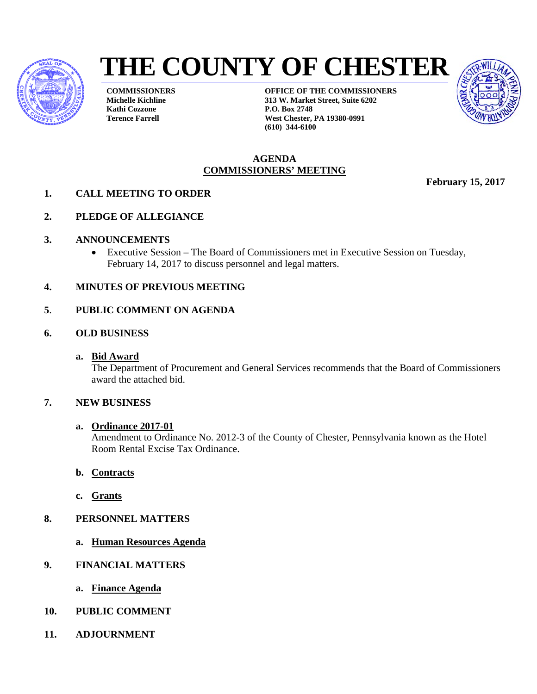

# **THE COUNTY OF CHESTER**

**COMMISSIONERS Michelle Kichline Kathi Cozzone Terence Farrell**

**OFFICE OF THE COMMISSIONERS 313 W. Market Street, Suite 6202 P.O. Box 2748 West Chester, PA 19380-0991 (610) 344-6100**



#### **AGENDA COMMISSIONERS' MEETING**

**February 15, 2017** 

- **1. CALL MEETING TO ORDER**
- **2. PLEDGE OF ALLEGIANCE**
- **3. ANNOUNCEMENTS**
	- Executive Session The Board of Commissioners met in Executive Session on Tuesday, February 14, 2017 to discuss personnel and legal matters.
- **4. MINUTES OF PREVIOUS MEETING**

#### **5**. **PUBLIC COMMENT ON AGENDA**

- **6. OLD BUSINESS**
	- **a. Bid Award**

The Department of Procurement and General Services recommends that the Board of Commissioners award the attached bid.

#### **7. NEW BUSINESS**

#### **a. Ordinance 2017-01**

Amendment to Ordinance No. 2012-3 of the County of Chester, Pennsylvania known as the Hotel Room Rental Excise Tax Ordinance.

- **b. Contracts**
- **c. Grants**
- **8. PERSONNEL MATTERS**
	- **a. Human Resources Agenda**
- **9. FINANCIAL MATTERS**
	- **a. Finance Agenda**
- **10. PUBLIC COMMENT**
- **11. ADJOURNMENT**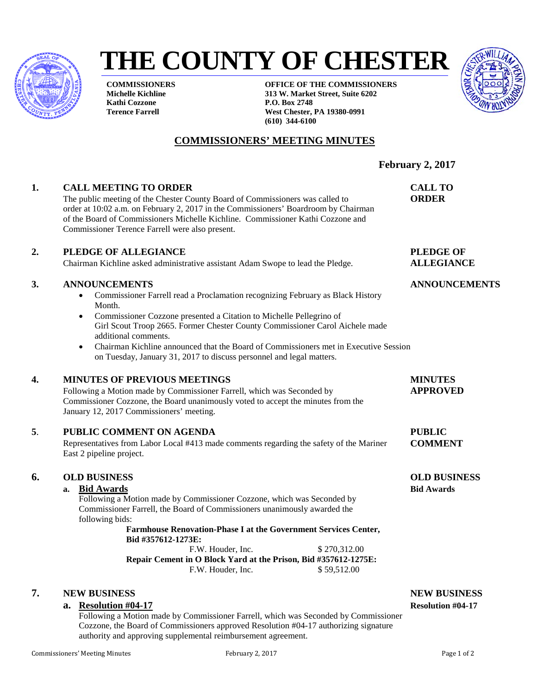

# **THE COUNTY OF CHESTER**

**COMMISSIONERS Michelle Kichline Kathi Cozzone Terence Farrell**

**OFFICE OF THE COMMISSIONERS 313 W. Market Street, Suite 6202 P.O. Box 2748 West Chester, PA 19380-0991 (610) 344-6100**



# **COMMISSIONERS' MEETING MINUTES**

**1. CALL MEETING TO ORDER CALL TO** The public meeting of the Chester County Board of Commissioners was called to **ORDER** order at 10:02 a.m. on February 2, 2017 in the Commissioners' Boardroom by Chairman of the Board of Commissioners Michelle Kichline. Commissioner Kathi Cozzone and Commissioner Terence Farrell were also present. **2. PLEDGE OF ALLEGIANCE PLEDGE OF** Chairman Kichline asked administrative assistant Adam Swope to lead the Pledge. **ALLEGIANCE 3. ANNOUNCEMENTS ANNOUNCEMENTS** • Commissioner Farrell read a Proclamation recognizing February as Black History Month. • Commissioner Cozzone presented a Citation to Michelle Pellegrino of Girl Scout Troop 2665. Former Chester County Commissioner Carol Aichele made additional comments. • Chairman Kichline announced that the Board of Commissioners met in Executive Session on Tuesday, January 31, 2017 to discuss personnel and legal matters. **4. MINUTES OF PREVIOUS MEETINGS MINUTES**  Following a Motion made by Commissioner Farrell, which was Seconded by **APPROVED** Commissioner Cozzone, the Board unanimously voted to accept the minutes from the January 12, 2017 Commissioners' meeting. **5**. **PUBLIC COMMENT ON AGENDA PUBLIC** Representatives from Labor Local #413 made comments regarding the safety of the Mariner **COMMENT** East 2 pipeline project.

#### **6. OLD BUSINESS OLD BUSINESS**

**a. Bid Awards Bid Awards**

Following a Motion made by Commissioner Cozzone, which was Seconded by Commissioner Farrell, the Board of Commissioners unanimously awarded the following bids:

**Farmhouse Renovation-Phase I at the Government Services Center, Bid #357612-1273E:**  F.W. Houder, Inc. \$ 270,312.00

**Repair Cement in O Block Yard at the Prison, Bid #357612-1275E:**<br>F.W. Houder. Inc.  $$59.512.00$ F.W. Houder, Inc.

#### **7. NEW BUSINESS NEW BUSINESS**

#### **a. Resolution #04-17 Resolution #04-17**

Following a Motion made by Commissioner Farrell, which was Seconded by Commissioner Cozzone, the Board of Commissioners approved Resolution #04-17 authorizing signature authority and approving supplemental reimbursement agreement.

**February 2, 2017**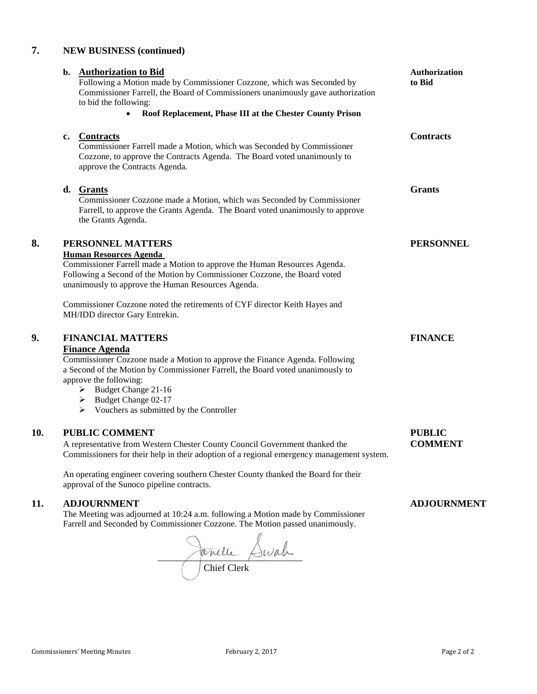### **7. NEW BUSINESS (continued)**

|     | b. Authorization to Bid<br>Following a Motion made by Commissioner Cozzone, which was Seconded by<br>Commissioner Farrell, the Board of Commissioners unanimously gave authorization<br>to bid the following:<br>Roof Replacement, Phase III at the Chester County Prison                                                                        | Authorization<br>to Bid         |
|-----|--------------------------------------------------------------------------------------------------------------------------------------------------------------------------------------------------------------------------------------------------------------------------------------------------------------------------------------------------|---------------------------------|
|     | <b>Contracts</b><br>c.<br>Commissioner Farrell made a Motion, which was Seconded by Commissioner<br>Cozzone, to approve the Contracts Agenda. The Board voted unanimously to<br>approve the Contracts Agenda.                                                                                                                                    | <b>Contracts</b>                |
|     | d.<br><b>Grants</b><br>Commissioner Cozzone made a Motion, which was Seconded by Commissioner<br>Farrell, to approve the Grants Agenda. The Board voted unanimously to approve<br>the Grants Agenda.                                                                                                                                             | <b>Grants</b>                   |
| 8.  | PERSONNEL MATTERS<br><b>Human Resources Agenda</b><br>Commissioner Farrell made a Motion to approve the Human Resources Agenda.<br>Following a Second of the Motion by Commissioner Cozzone, the Board voted<br>unanimously to approve the Human Resources Agenda.<br>Commissioner Cozzone noted the retirements of CYF director Keith Hayes and | <b>PERSONNEL</b>                |
| 9.  | MH/IDD director Gary Entrekin.<br><b>FINANCIAL MATTERS</b><br><b>Finance Agenda</b><br>Commissioner Cozzone made a Motion to approve the Finance Agenda. Following                                                                                                                                                                               | <b>FINANCE</b>                  |
|     | a Second of the Motion by Commissioner Farrell, the Board voted unanimously to<br>approve the following:<br>> Budget Change 21-16<br>Budget Change 02-17<br>➤<br>$\triangleright$ Vouchers as submitted by the Controller                                                                                                                        |                                 |
| 10. | <b>PUBLIC COMMENT</b><br>A representative from Western Chester County Council Government thanked the<br>Commissioners for their help in their adoption of a regional emergency management system.                                                                                                                                                | <b>PUBLIC</b><br><b>COMMENT</b> |
|     | An operating engineer covering southern Chester County thanked the Board for their<br>approval of the Sunoco pipeline contracts.                                                                                                                                                                                                                 |                                 |
| 11. | <b>ADJOURNMENT</b>                                                                                                                                                                                                                                                                                                                               | <b>ADJOURNMENT</b>              |

The Meeting was adjourned at 10:24 a.m. following a Motion made by Commissioner Farrell and Seconded by Commissioner Cozzone. The Motion passed unanimously.

 $\sim$   $\sim$   $\sim$ Chief Clerk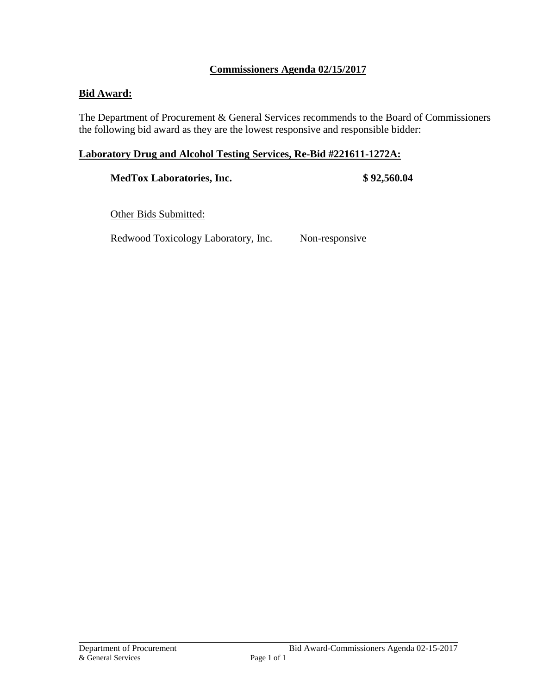### **Commissioners Agenda 02/15/2017**

### **Bid Award:**

The Department of Procurement & General Services recommends to the Board of Commissioners the following bid award as they are the lowest responsive and responsible bidder:

#### **Laboratory Drug and Alcohol Testing Services, Re-Bid #221611-1272A:**

**MedTox Laboratories, Inc. \$ 92,560.04** 

Other Bids Submitted:

Redwood Toxicology Laboratory, Inc. Non-responsive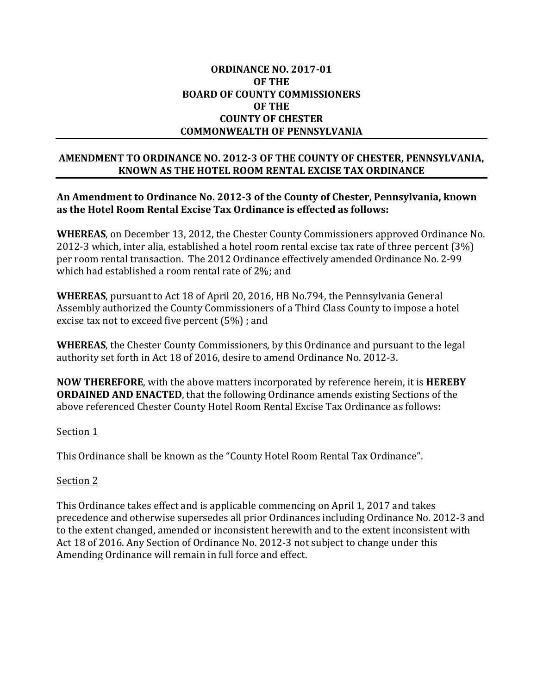#### **ORDINANCE NO. 2017-01 OF THE BOARD OF COUNTY COMMISSIONERS OF THE COUNTY OF CHESTER COMMONWEALTH OF PENNSYLVANIA**

#### **AMENDMENT TO ORDINANCE NO. 2012-3 OF THE COUNTY OF CHESTER, PENNSYLVANIA, KNOWN AS THE HOTEL ROOM RENTAL EXCISE TAX ORDINANCE**

#### **An Amendment to Ordinance No. 2012-3 of the County of Chester, Pennsylvania, known as the Hotel Room Rental Excise Tax Ordinance is effected as follows:**

**WHEREAS**, on December 13, 2012, the Chester County Commissioners approved Ordinance No. 2012-3 which, inter alia, established a hotel room rental excise tax rate of three percent (3%) per room rental transaction. The 2012 Ordinance effectively amended Ordinance No. 2-99 which had established a room rental rate of 2%; and

**WHEREAS**, pursuant to Act 18 of April 20, 2016, HB No.794, the Pennsylvania General Assembly authorized the County Commissioners of a Third Class County to impose a hotel excise tax not to exceed five percent (5%) ; and

**WHEREAS**, the Chester County Commissioners, by this Ordinance and pursuant to the legal authority set forth in Act 18 of 2016, desire to amend Ordinance No. 2012-3.

**NOW THEREFORE**, with the above matters incorporated by reference herein, it is **HEREBY ORDAINED AND ENACTED**, that the following Ordinance amends existing Sections of the above referenced Chester County Hotel Room Rental Excise Tax Ordinance as follows:

#### Section 1

This Ordinance shall be known as the "County Hotel Room Rental Tax Ordinance".

#### Section 2

This Ordinance takes effect and is applicable commencing on April 1, 2017 and takes precedence and otherwise supersedes all prior Ordinances including Ordinance No. 2012-3 and to the extent changed, amended or inconsistent herewith and to the extent inconsistent with Act 18 of 2016. Any Section of Ordinance No. 2012-3 not subject to change under this Amending Ordinance will remain in full force and effect.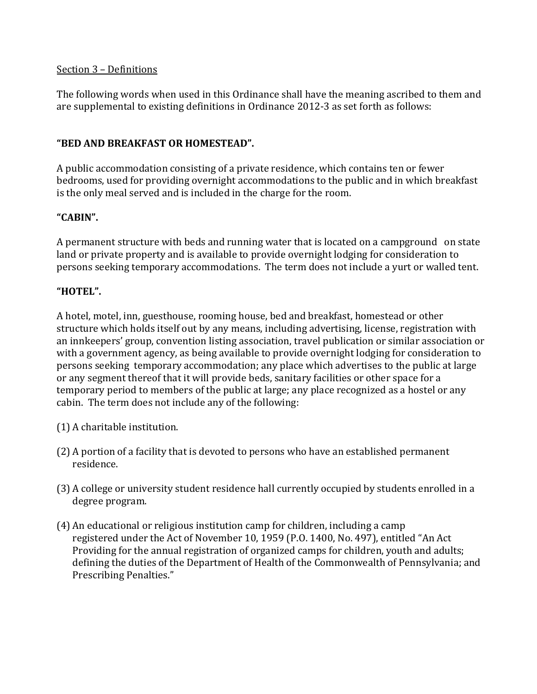### Section 3 – Definitions

The following words when used in this Ordinance shall have the meaning ascribed to them and are supplemental to existing definitions in Ordinance 2012-3 as set forth as follows:

## **"BED AND BREAKFAST OR HOMESTEAD".**

A public accommodation consisting of a private residence, which contains ten or fewer bedrooms, used for providing overnight accommodations to the public and in which breakfast is the only meal served and is included in the charge for the room.

# **"CABIN".**

A permanent structure with beds and running water that is located on a campground on state land or private property and is available to provide overnight lodging for consideration to persons seeking temporary accommodations. The term does not include a yurt or walled tent.

# **"HOTEL".**

A hotel, motel, inn, guesthouse, rooming house, bed and breakfast, homestead or other structure which holds itself out by any means, including advertising, license, registration with an innkeepers' group, convention listing association, travel publication or similar association or with a government agency, as being available to provide overnight lodging for consideration to persons seeking temporary accommodation; any place which advertises to the public at large or any segment thereof that it will provide beds, sanitary facilities or other space for a temporary period to members of the public at large; any place recognized as a hostel or any cabin. The term does not include any of the following:

- (1) A charitable institution.
- (2) A portion of a facility that is devoted to persons who have an established permanent residence.
- (3) A college or university student residence hall currently occupied by students enrolled in a degree program.
- (4) An educational or religious institution camp for children, including a camp registered under the Act of November 10, 1959 (P.O. 1400, No. 497), entitled "An Act Providing for the annual registration of organized camps for children, youth and adults; defining the duties of the Department of Health of the Commonwealth of Pennsylvania; and Prescribing Penalties."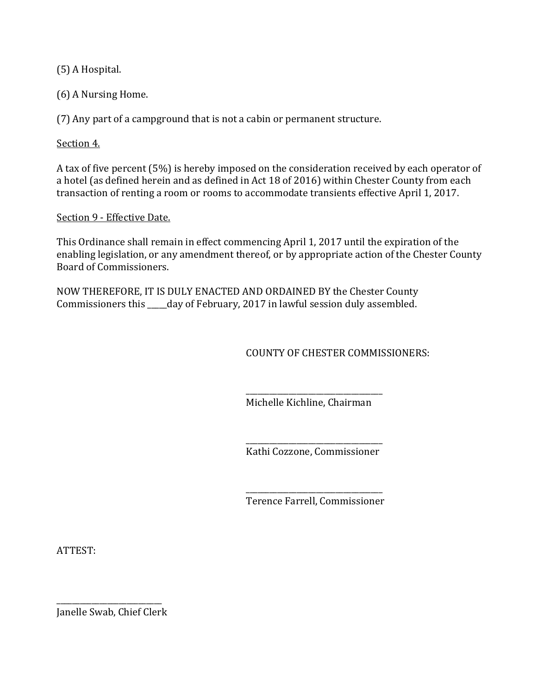(5) A Hospital.

(6) A Nursing Home.

(7) Any part of a campground that is not a cabin or permanent structure.

Section 4.

A tax of five percent (5%) is hereby imposed on the consideration received by each operator of a hotel (as defined herein and as defined in Act 18 of 2016) within Chester County from each transaction of renting a room or rooms to accommodate transients effective April 1, 2017.

#### Section 9 - Effective Date.

This Ordinance shall remain in effect commencing April 1, 2017 until the expiration of the enabling legislation, or any amendment thereof, or by appropriate action of the Chester County Board of Commissioners.

NOW THEREFORE, IT IS DULY ENACTED AND ORDAINED BY the Chester County Commissioners this \_\_\_\_\_day of February, 2017 in lawful session duly assembled.

COUNTY OF CHESTER COMMISSIONERS:

\_\_\_\_\_\_\_\_\_\_\_\_\_\_\_\_\_\_\_\_\_\_\_\_\_\_\_\_\_\_\_\_\_\_\_ Michelle Kichline, Chairman

\_\_\_\_\_\_\_\_\_\_\_\_\_\_\_\_\_\_\_\_\_\_\_\_\_\_\_\_\_\_\_\_\_\_\_ Kathi Cozzone, Commissioner

\_\_\_\_\_\_\_\_\_\_\_\_\_\_\_\_\_\_\_\_\_\_\_\_\_\_\_\_\_\_\_\_\_\_\_ Terence Farrell, Commissioner

ATTEST:

\_\_\_\_\_\_\_\_\_\_\_\_\_\_\_\_\_\_\_\_\_\_\_\_\_\_\_ Janelle Swab, Chief Clerk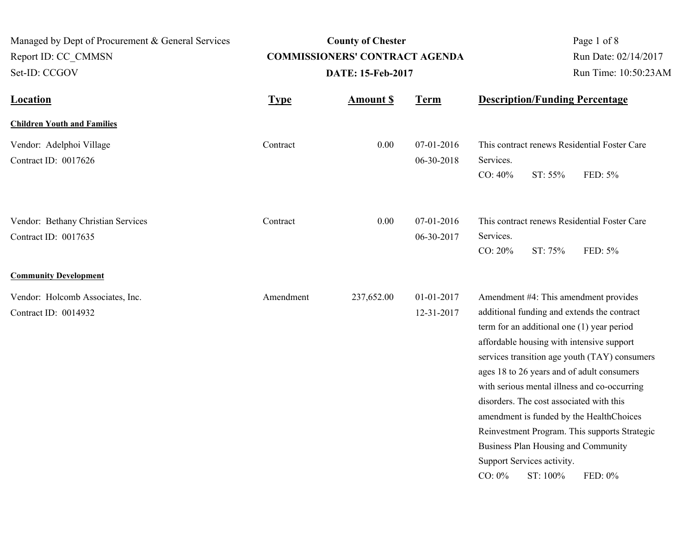| Managed by Dept of Procurement & General Services<br>Report ID: CC CMMSN<br>Set-ID: CCGOV |             | <b>County of Chester</b><br><b>COMMISSIONERS' CONTRACT AGENDA</b><br>DATE: 15-Feb-2017 |                          | Page 1 of 8<br>Run Date: 02/14/2017<br>Run Time: 10:50:23AM                                                                                                                                                                                                                                                                                                             |                                                                                                                                                                                                       |
|-------------------------------------------------------------------------------------------|-------------|----------------------------------------------------------------------------------------|--------------------------|-------------------------------------------------------------------------------------------------------------------------------------------------------------------------------------------------------------------------------------------------------------------------------------------------------------------------------------------------------------------------|-------------------------------------------------------------------------------------------------------------------------------------------------------------------------------------------------------|
| <b>Location</b>                                                                           | <b>Type</b> | <b>Amount S</b>                                                                        | <b>Term</b>              | <b>Description/Funding Percentage</b>                                                                                                                                                                                                                                                                                                                                   |                                                                                                                                                                                                       |
| <b>Children Youth and Families</b>                                                        |             |                                                                                        |                          |                                                                                                                                                                                                                                                                                                                                                                         |                                                                                                                                                                                                       |
| Vendor: Adelphoi Village<br>Contract ID: 0017626                                          | Contract    | 0.00                                                                                   | 07-01-2016<br>06-30-2018 | Services.<br>CO: 40%<br>ST: 55%                                                                                                                                                                                                                                                                                                                                         | This contract renews Residential Foster Care<br>FED: 5%                                                                                                                                               |
| Vendor: Bethany Christian Services<br>Contract ID: 0017635                                | Contract    | 0.00                                                                                   | 07-01-2016<br>06-30-2017 | Services.<br>CO: 20%<br>ST: 75%                                                                                                                                                                                                                                                                                                                                         | This contract renews Residential Foster Care<br>FED: 5%                                                                                                                                               |
| <b>Community Development</b>                                                              |             |                                                                                        |                          |                                                                                                                                                                                                                                                                                                                                                                         |                                                                                                                                                                                                       |
| Vendor: Holcomb Associates, Inc.<br>Contract ID: 0014932                                  | Amendment   | 237,652.00                                                                             | 01-01-2017<br>12-31-2017 | Amendment #4: This amendment provides<br>additional funding and extends the contract<br>term for an additional one (1) year period<br>affordable housing with intensive support<br>ages 18 to 26 years and of adult consumers<br>disorders. The cost associated with this<br>Business Plan Housing and Community<br>Support Services activity.<br>ST: 100%<br>$CO: 0\%$ | services transition age youth (TAY) consumers<br>with serious mental illness and co-occurring<br>amendment is funded by the HealthChoices<br>Reinvestment Program. This supports Strategic<br>FED: 0% |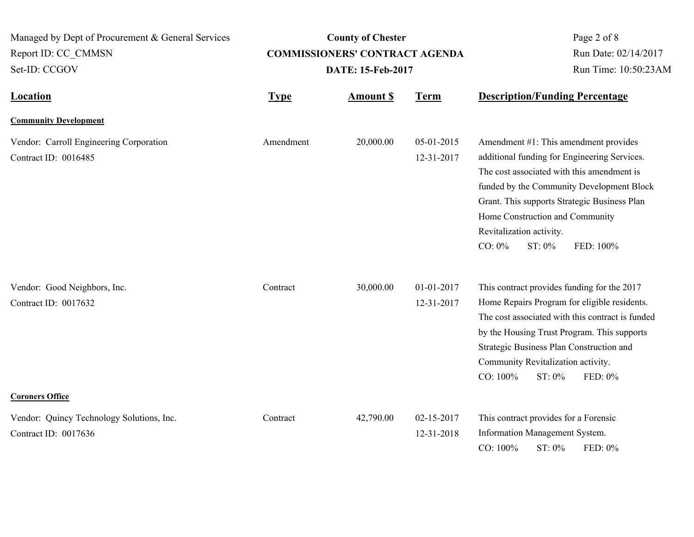| Managed by Dept of Procurement & General Services                 |             | <b>County of Chester</b>              | Page 2 of 8              |                                                                                                                                                                                                                                                                                                                                     |  |
|-------------------------------------------------------------------|-------------|---------------------------------------|--------------------------|-------------------------------------------------------------------------------------------------------------------------------------------------------------------------------------------------------------------------------------------------------------------------------------------------------------------------------------|--|
| Report ID: CC CMMSN                                               |             | <b>COMMISSIONERS' CONTRACT AGENDA</b> | Run Date: 02/14/2017     |                                                                                                                                                                                                                                                                                                                                     |  |
| Set-ID: CCGOV                                                     |             | DATE: 15-Feb-2017                     | Run Time: 10:50:23AM     |                                                                                                                                                                                                                                                                                                                                     |  |
| <b>Location</b>                                                   | <b>Type</b> | <b>Amount S</b>                       | <b>Term</b>              | <b>Description/Funding Percentage</b>                                                                                                                                                                                                                                                                                               |  |
| <b>Community Development</b>                                      |             |                                       |                          |                                                                                                                                                                                                                                                                                                                                     |  |
| Vendor: Carroll Engineering Corporation<br>Contract ID: 0016485   | Amendment   | 20,000.00                             | 05-01-2015<br>12-31-2017 | Amendment #1: This amendment provides<br>additional funding for Engineering Services.<br>The cost associated with this amendment is<br>funded by the Community Development Block<br>Grant. This supports Strategic Business Plan<br>Home Construction and Community<br>Revitalization activity.<br>$CO: 0\%$<br>ST: 0%<br>FED: 100% |  |
| Vendor: Good Neighbors, Inc.<br>Contract ID: 0017632              | Contract    | 30,000.00                             | 01-01-2017<br>12-31-2017 | This contract provides funding for the 2017<br>Home Repairs Program for eligible residents.<br>The cost associated with this contract is funded<br>by the Housing Trust Program. This supports<br>Strategic Business Plan Construction and<br>Community Revitalization activity.<br>CO: 100%<br>ST: 0%<br>FED: 0%                   |  |
| <b>Coroners Office</b>                                            |             |                                       |                          |                                                                                                                                                                                                                                                                                                                                     |  |
| Vendor: Quincy Technology Solutions, Inc.<br>Contract ID: 0017636 | Contract    | 42,790.00                             | 02-15-2017<br>12-31-2018 | This contract provides for a Forensic<br>Information Management System.<br>ST: 0%<br>CO: 100%<br>FED: 0%                                                                                                                                                                                                                            |  |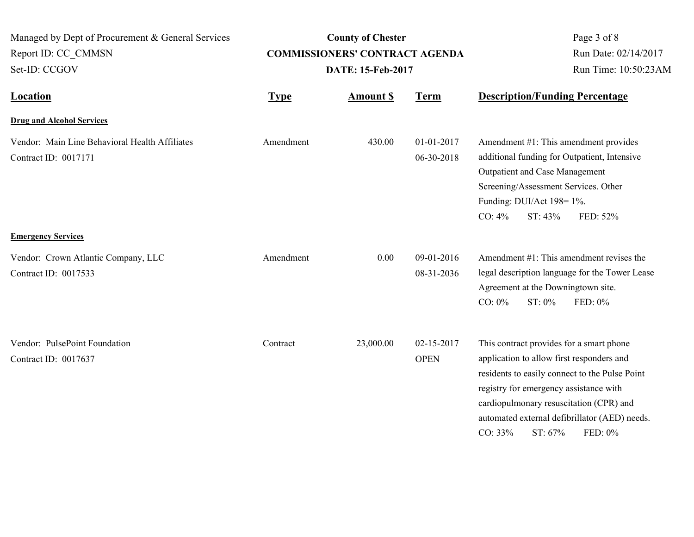| Managed by Dept of Procurement & General Services<br>Report ID: CC CMMSN<br>Set-ID: CCGOV |             | <b>County of Chester</b><br><b>COMMISSIONERS' CONTRACT AGENDA</b><br>DATE: 15-Feb-2017 | Page 3 of 8<br>Run Date: 02/14/2017<br>Run Time: 10:50:23AM |                                                                                                                                                                                                                                                                                                                |
|-------------------------------------------------------------------------------------------|-------------|----------------------------------------------------------------------------------------|-------------------------------------------------------------|----------------------------------------------------------------------------------------------------------------------------------------------------------------------------------------------------------------------------------------------------------------------------------------------------------------|
| Location                                                                                  | <b>Type</b> | <b>Amount \$</b>                                                                       | <b>Term</b>                                                 | <b>Description/Funding Percentage</b>                                                                                                                                                                                                                                                                          |
| <b>Drug and Alcohol Services</b>                                                          |             |                                                                                        |                                                             |                                                                                                                                                                                                                                                                                                                |
| Vendor: Main Line Behavioral Health Affiliates<br>Contract ID: 0017171                    | Amendment   | 430.00                                                                                 | 01-01-2017<br>06-30-2018                                    | Amendment #1: This amendment provides<br>additional funding for Outpatient, Intensive<br>Outpatient and Case Management<br>Screening/Assessment Services. Other<br>Funding: DUI/Act 198=1%.<br>$CO: 4\%$<br>ST: 43%<br>FED: 52%                                                                                |
| <b>Emergency Services</b>                                                                 |             |                                                                                        |                                                             |                                                                                                                                                                                                                                                                                                                |
| Vendor: Crown Atlantic Company, LLC<br>Contract ID: 0017533                               | Amendment   | 0.00                                                                                   | 09-01-2016<br>08-31-2036                                    | Amendment #1: This amendment revises the<br>legal description language for the Tower Lease<br>Agreement at the Downingtown site.<br>$CO: 0\%$<br>ST: 0%<br>FED: 0%                                                                                                                                             |
| Vendor: PulsePoint Foundation<br>Contract ID: 0017637                                     | Contract    | 23,000.00                                                                              | 02-15-2017<br><b>OPEN</b>                                   | This contract provides for a smart phone<br>application to allow first responders and<br>residents to easily connect to the Pulse Point<br>registry for emergency assistance with<br>cardiopulmonary resuscitation (CPR) and<br>automated external defibrillator (AED) needs.<br>ST: 67%<br>FED: 0%<br>CO: 33% |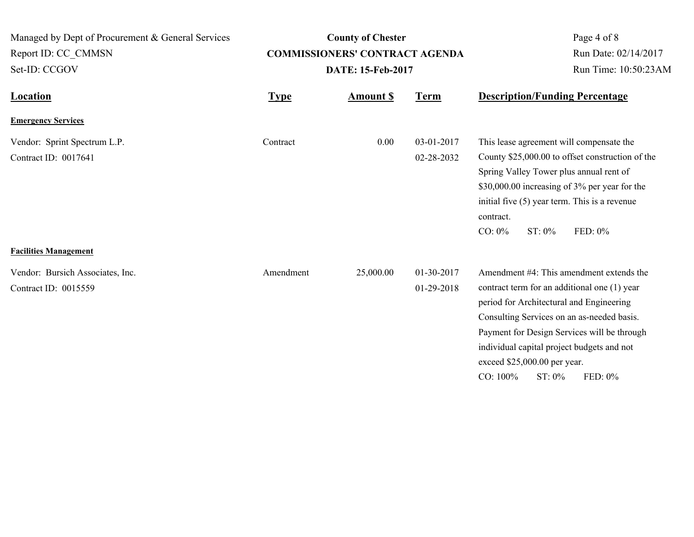| Managed by Dept of Procurement & General Services<br>Report ID: CC_CMMSN             |             | <b>County of Chester</b><br><b>COMMISSIONERS' CONTRACT AGENDA</b> | Page 4 of 8<br>Run Date: 02/14/2017 |                                                                                                                                                                                                                                                                                                                                                     |  |
|--------------------------------------------------------------------------------------|-------------|-------------------------------------------------------------------|-------------------------------------|-----------------------------------------------------------------------------------------------------------------------------------------------------------------------------------------------------------------------------------------------------------------------------------------------------------------------------------------------------|--|
| Set-ID: CCGOV                                                                        |             | DATE: 15-Feb-2017                                                 |                                     | Run Time: 10:50:23AM                                                                                                                                                                                                                                                                                                                                |  |
| <b>Location</b>                                                                      | <b>Type</b> | <b>Amount \$</b>                                                  | <b>Term</b>                         | <b>Description/Funding Percentage</b>                                                                                                                                                                                                                                                                                                               |  |
| <b>Emergency Services</b>                                                            |             |                                                                   |                                     |                                                                                                                                                                                                                                                                                                                                                     |  |
| Vendor: Sprint Spectrum L.P.<br>Contract ID: 0017641<br><b>Facilities Management</b> | Contract    | 0.00                                                              | 03-01-2017<br>02-28-2032            | This lease agreement will compensate the<br>County \$25,000.00 to offset construction of the<br>Spring Valley Tower plus annual rent of<br>\$30,000.00 increasing of 3% per year for the<br>initial five (5) year term. This is a revenue<br>contract.<br>FED: 0%<br>$CO: 0\%$<br>$ST: 0\%$                                                         |  |
| Vendor: Bursich Associates, Inc.<br>Contract ID: 0015559                             | Amendment   | 25,000.00                                                         | 01-30-2017<br>01-29-2018            | Amendment #4: This amendment extends the<br>contract term for an additional one (1) year<br>period for Architectural and Engineering<br>Consulting Services on an as-needed basis.<br>Payment for Design Services will be through<br>individual capital project budgets and not<br>exceed \$25,000.00 per year.<br>CO: 100%<br>FED: 0%<br>$ST: 0\%$ |  |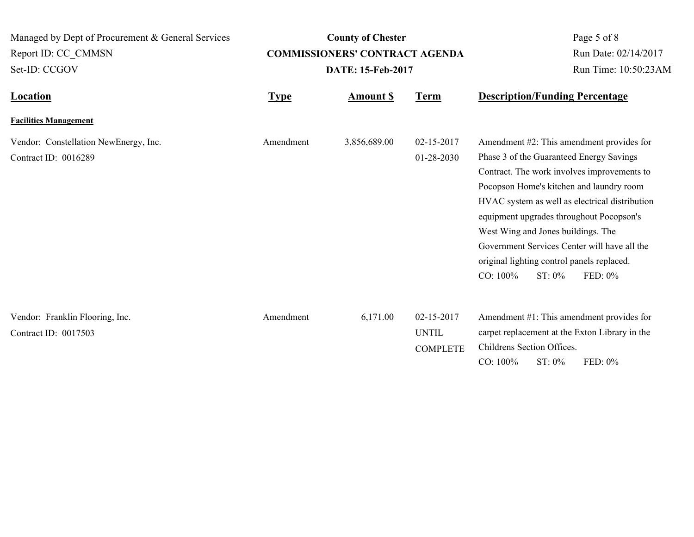**Location Type Type** *Amount \$* **Term Description/Funding Percentage County of Chester COMMISSIONERS' CONTRACT AGENDA** Managed by Dept of Procurement & General Services Set-ID: CCGOV Report ID: CC\_CMMSN Page 5 of 8 **Amount \$ DATE: 15-Feb-2017** Run Date: 02/14/2017 Run Time: 10:50:23AM **Facilities Management** Vendor: Constellation NewEnergy, Inc. <br>
Amendment 3,856,689.00 02-15-2017 Contract ID: 0016289 01-28-2030 Amendment #2: This amendment provides for Phase 3 of the Guaranteed Energy Savings Contract. The work involves improvements to Pocopson Home's kitchen and laundry room HVAC system as well as electrical distribution equipment upgrades throughout Pocopson's West Wing and Jones buildings. The Government Services Center will have all the original lighting control panels replaced. CO: 100% ST: 0% FED: 0% Amendment Vendor: Franklin Flooring, Inc. 6,171.00 02-15-2017 Contract ID: 0017503 Amendment #1: This amendment provides for carpet replacement at the Exton Library in the UNTIL Amendment

Childrens Section Offices.

**COMPLETE** 

CO: 100% ST: 0% FED: 0%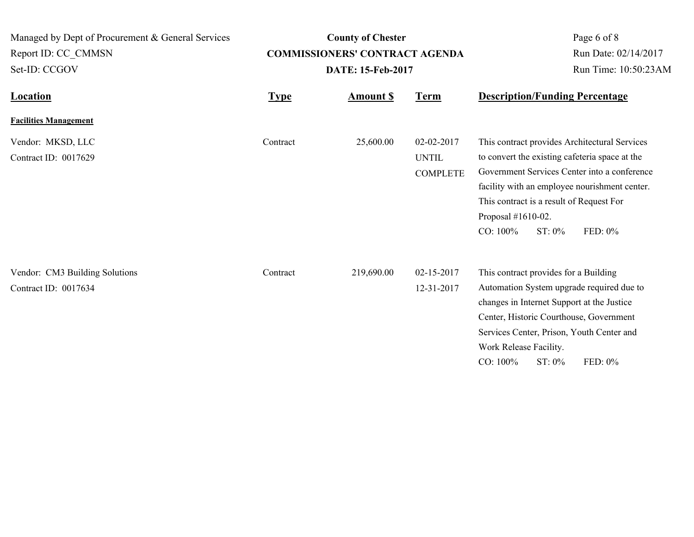| Managed by Dept of Procurement & General Services      |             | <b>County of Chester</b>              | Page 6 of 8                                   |                                                                                                                                                                                                                                                                                                           |  |
|--------------------------------------------------------|-------------|---------------------------------------|-----------------------------------------------|-----------------------------------------------------------------------------------------------------------------------------------------------------------------------------------------------------------------------------------------------------------------------------------------------------------|--|
| Report ID: CC CMMSN                                    |             | <b>COMMISSIONERS' CONTRACT AGENDA</b> |                                               | Run Date: 02/14/2017                                                                                                                                                                                                                                                                                      |  |
| Set-ID: CCGOV                                          |             | DATE: 15-Feb-2017                     |                                               | Run Time: 10:50:23AM                                                                                                                                                                                                                                                                                      |  |
| <b>Location</b>                                        | <b>Type</b> | <b>Amount S</b>                       | <b>Term</b>                                   | <b>Description/Funding Percentage</b>                                                                                                                                                                                                                                                                     |  |
| <b>Facilities Management</b>                           |             |                                       |                                               |                                                                                                                                                                                                                                                                                                           |  |
| Vendor: MKSD, LLC<br>Contract ID: 0017629              | Contract    | 25,600.00                             | 02-02-2017<br><b>UNTIL</b><br><b>COMPLETE</b> | This contract provides Architectural Services<br>to convert the existing cafeteria space at the<br>Government Services Center into a conference<br>facility with an employee nourishment center.<br>This contract is a result of Request For<br>Proposal #1610-02.<br>$CO: 100\%$<br>FED: 0%<br>$ST: 0\%$ |  |
| Vendor: CM3 Building Solutions<br>Contract ID: 0017634 | Contract    | 219,690.00                            | 02-15-2017<br>12-31-2017                      | This contract provides for a Building<br>Automation System upgrade required due to<br>changes in Internet Support at the Justice<br>Center, Historic Courthouse, Government<br>Services Center, Prison, Youth Center and<br>Work Release Facility.<br>CO: 100%<br>FED: 0%<br>ST: 0%                       |  |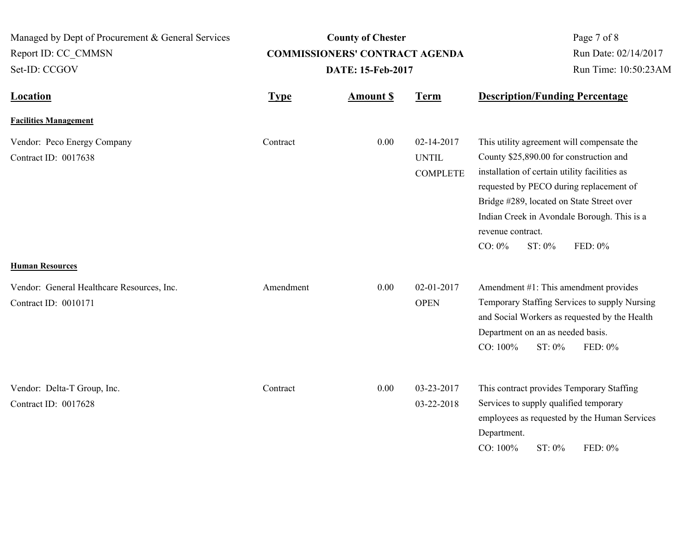| Managed by Dept of Procurement & General Services<br>Report ID: CC CMMSN<br>Set-ID: CCGOV |             | <b>County of Chester</b><br><b>COMMISSIONERS' CONTRACT AGENDA</b><br>DATE: 15-Feb-2017 | Page 7 of 8<br>Run Date: 02/14/2017<br>Run Time: 10:50:23AM |                                                                                                                                                                                                                                                                                                                                      |
|-------------------------------------------------------------------------------------------|-------------|----------------------------------------------------------------------------------------|-------------------------------------------------------------|--------------------------------------------------------------------------------------------------------------------------------------------------------------------------------------------------------------------------------------------------------------------------------------------------------------------------------------|
| <b>Location</b>                                                                           | <b>Type</b> | <b>Amount \$</b>                                                                       | <b>Term</b>                                                 | <b>Description/Funding Percentage</b>                                                                                                                                                                                                                                                                                                |
| <b>Facilities Management</b>                                                              |             |                                                                                        |                                                             |                                                                                                                                                                                                                                                                                                                                      |
| Vendor: Peco Energy Company<br>Contract ID: 0017638                                       | Contract    | 0.00                                                                                   | 02-14-2017<br><b>UNTIL</b><br><b>COMPLETE</b>               | This utility agreement will compensate the<br>County \$25,890.00 for construction and<br>installation of certain utility facilities as<br>requested by PECO during replacement of<br>Bridge #289, located on State Street over<br>Indian Creek in Avondale Borough. This is a<br>revenue contract.<br>FED: 0%<br>$CO: 0\%$<br>ST: 0% |
| <b>Human Resources</b>                                                                    |             |                                                                                        |                                                             |                                                                                                                                                                                                                                                                                                                                      |
| Vendor: General Healthcare Resources, Inc.<br>Contract ID: 0010171                        | Amendment   | 0.00                                                                                   | 02-01-2017<br><b>OPEN</b>                                   | Amendment #1: This amendment provides<br>Temporary Staffing Services to supply Nursing<br>and Social Workers as requested by the Health<br>Department on an as needed basis.<br>CO: 100%<br>ST: 0%<br>FED: 0%                                                                                                                        |
| Vendor: Delta-T Group, Inc.<br>Contract ID: 0017628                                       | Contract    | 0.00                                                                                   | 03-23-2017<br>03-22-2018                                    | This contract provides Temporary Staffing<br>Services to supply qualified temporary<br>employees as requested by the Human Services<br>Department.<br>$CO: 100\%$<br>ST: 0%<br>FED: 0%                                                                                                                                               |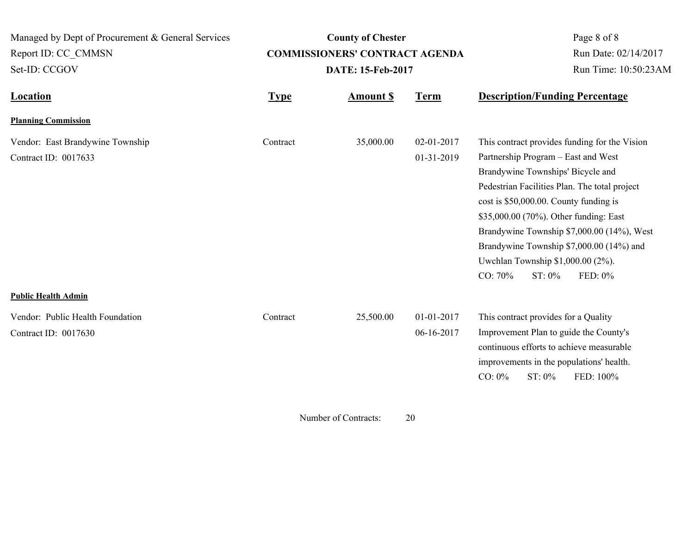**Location Type Type** *Amount \$* **Term Description/Funding Percentage County of Chester COMMISSIONERS' CONTRACT AGENDA** Managed by Dept of Procurement & General Services Set-ID: CCGOV Report ID: CC\_CMMSN Page 8 of 8 **Amount \$ DATE: 15-Feb-2017** Run Date: 02/14/2017 Run Time: 10:50:23AM **Planning Commission** Vendor: East Brandywine Township Contract 35,000.00 02-01-2017 Contract ID: 0017633 01-31-2019 This contract provides funding for the Vision Partnership Program – East and West Brandywine Townships' Bicycle and Pedestrian Facilities Plan. The total project cost is \$50,000.00. County funding is \$35,000.00 (70%). Other funding: East Brandywine Township \$7,000.00 (14%), West Brandywine Township \$7,000.00 (14%) and Uwchlan Township \$1,000.00 (2%). CO: 70% ST: 0% FED: 0% Contract **Public Health Admin** Vendor: Public Health Foundation 25,500.00 01-01-2017 Contract ID: 0017630 06-16-2017 This contract provides for a Quality Improvement Plan to guide the County's continuous efforts to achieve measurable improvements in the populations' health. CO: 0% ST: 0% FED: 100% **Contract** 

Number of Contracts: 20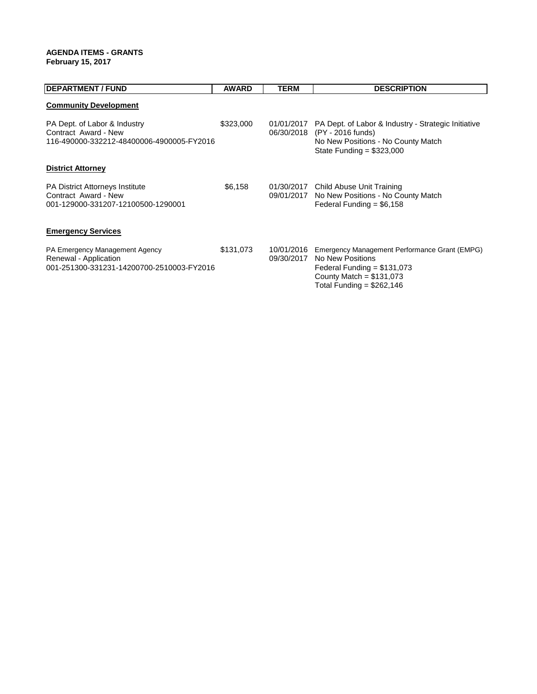#### **AGENDA ITEMS - GRANTS February 15, 2017**

| <b>DEPARTMENT / FUND</b>                                                                             | <b>AWARD</b> | <b>TERM</b>              | <b>DESCRIPTION</b>                                                                                                                                           |
|------------------------------------------------------------------------------------------------------|--------------|--------------------------|--------------------------------------------------------------------------------------------------------------------------------------------------------------|
| <b>Community Development</b>                                                                         |              |                          |                                                                                                                                                              |
| PA Dept. of Labor & Industry<br>Contract Award - New<br>116-490000-332212-48400006-4900005-FY2016    | \$323,000    | 01/01/2017<br>06/30/2018 | PA Dept. of Labor & Industry - Strategic Initiative<br>(PY - 2016 funds)<br>No New Positions - No County Match<br>State Funding = $$323,000$                 |
| <b>District Attorney</b>                                                                             |              |                          |                                                                                                                                                              |
| <b>PA District Attorneys Institute</b><br>Contract Award - New<br>001-129000-331207-12100500-1290001 | \$6,158      |                          | 01/30/2017 Child Abuse Unit Training<br>09/01/2017 No New Positions - No County Match<br>Federal Funding = $$6,158$                                          |
| <b>Emergency Services</b>                                                                            |              |                          |                                                                                                                                                              |
| PA Emergency Management Agency<br>Renewal - Application<br>001-251300-331231-14200700-2510003-FY2016 | \$131,073    | 10/01/2016<br>09/30/2017 | Emergency Management Performance Grant (EMPG)<br>No New Positions<br>Federal Funding $= $131,073$<br>County Match = $$131,073$<br>Total Funding = $$262,146$ |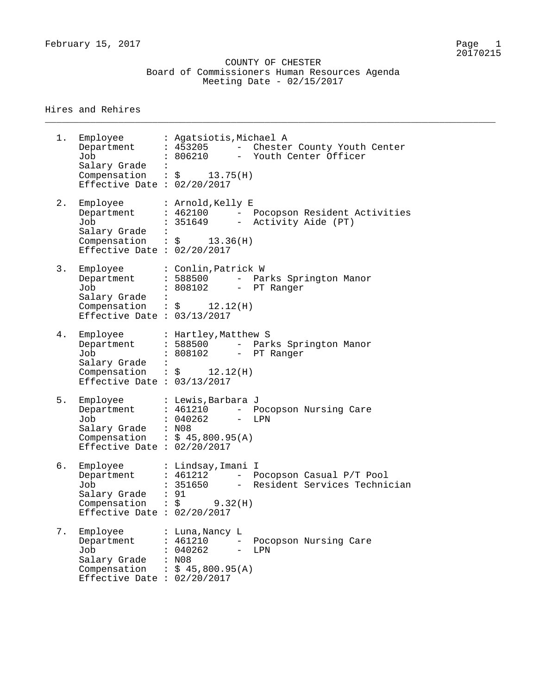February 15, 2017 Page 1

 COUNTY OF CHESTER Board of Commissioners Human Resources Agenda Meeting Date - 02/15/2017

\_\_\_\_\_\_\_\_\_\_\_\_\_\_\_\_\_\_\_\_\_\_\_\_\_\_\_\_\_\_\_\_\_\_\_\_\_\_\_\_\_\_\_\_\_\_\_\_\_\_\_\_\_\_\_\_\_\_\_\_\_\_\_\_\_\_\_\_\_\_\_\_\_\_\_\_\_\_\_\_

#### Hires and Rehires

1. Employee Agatsiotis,Michael A Department : 453205 - Chester County Youth Center Job : 806210 - Youth Center Officer Salary Grade : Compensation :  $\zeta$  13.75(H) Effective Date : 02/20/2017 2. Employee : Arnold, Kelly E Department : 462100 - Pocopson Resident Activities Job : 351649 - Activity Aide (PT) Salary Grade : Compensation :  $\zeta$  13.36(H) Effective Date : 02/20/2017 3. Employee : Conlin,Patrick W Department : 588500 - Parks Springton Manor Job : 808102 - PT Ranger Salary Grade : Compensation :  $\zeta$  12.12(H) Effective Date : 03/13/2017 4. Employee : Hartley,Matthew S Department : 588500 - Parks Springton Manor Job : 808102 - PT Ranger Salary Grade : Compensation :  $\sin 12.12$  (H) Effective Date : 03/13/2017 5. Employee : Lewis,Barbara J Department : 461210 - Pocopson Nursing Care Job : 040262 - LPN Salary Grade : N08 Compensation :  $$ 45,800.95(A)$ Effective Date : 02/20/2017 6. Employee : Lindsay,Imani I Department : 461212 - Pocopson Casual P/T Pool Job : 351650 - Resident Services Technician Salary Grade : 91  $\texttt{Compensation}$  :  $\zeta$  9.32(H) Effective Date : 02/20/2017 7. Employee : Luna,Nancy L Department : 461210 - Pocopson Nursing Care Job : 040262 - LPN Salary Grade : N08 Salary Grade :  $N08$ <br>Compensation :  $$45,800.95(A)$ Effective Date : 02/20/2017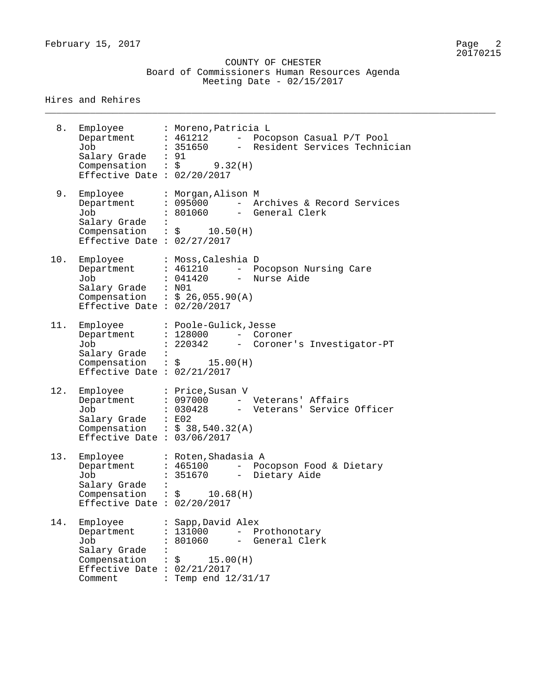\_\_\_\_\_\_\_\_\_\_\_\_\_\_\_\_\_\_\_\_\_\_\_\_\_\_\_\_\_\_\_\_\_\_\_\_\_\_\_\_\_\_\_\_\_\_\_\_\_\_\_\_\_\_\_\_\_\_\_\_\_\_\_\_\_\_\_\_\_\_\_\_\_\_\_\_\_\_\_\_

#### Hires and Rehires

| 8.  | Employee<br>Job<br>Salary Grade : 91<br>Compensation : $\zeta$ 9.32(H)<br>Effective Date : $02/20/2017$                         | : Moreno, Patricia L<br>Department : 461212 - Pocopson Casual P/T Pool<br>: 351650 - Resident Services Technician               |
|-----|---------------------------------------------------------------------------------------------------------------------------------|---------------------------------------------------------------------------------------------------------------------------------|
| 9.  | Employee<br>Department<br>Job<br>Salary Grade :<br>Compensation : $\frac{1}{5}$ 10.50(H)<br>Effective Date : $02/27/2017$       | : Morgan, Alison M<br>: 095000 - Archives & Record Services<br>: 801060 - General Clerk                                         |
| 10. | Employee<br>Department : 461210<br>Job<br>Salary Grade : N01<br>Compensation : $$26,055.90(A)$<br>Effective Date : $02/20/2017$ | : Moss, Caleshia D<br>- Pocopson Nursing Care<br>: 041420 - Nurse Aide                                                          |
| 11. | Employee<br>Department<br>Job<br>Salary Grade :<br>Compensation : $\frac{15.00(H)}{15.00(H)}$<br>Effective Date : $02/21/2017$  | : Poole-Gulick, Jesse<br>$: 128000$ -<br>Coroner<br>: 220342 - Coroner's Investigator-PT                                        |
| 12. | Employee<br>Department<br>Job<br>Salary Grade : E02<br>Compensation : $$38,540.32(A)$<br>Effective Date : 03/06/2017            | : Price, Susan V<br>: 097000 - Veterans' Affairs<br>: 030428 - Veterans' Service Officer                                        |
| 13. | Employee<br>Department<br>Job<br>Salary Grade<br>Compensation : $$ 10.68(H)$<br>Effective Date : $02/20/2017$                   | : Roten, Shadasia A<br>: 465100<br>- Pocopson Food & Dietary<br>351670<br>Dietary Aide                                          |
| 14. | Employee<br>Department<br>Job<br>Salary Grade<br>Compensation<br>Effective Date : $02/21/2017$<br>Comment                       | : Sapp, David Alex<br>: 131000<br>Prothonotary<br>$ -$<br>801060<br>- General Clerk<br>$\frac{15.00(H)}{}$<br>Temp end 12/31/17 |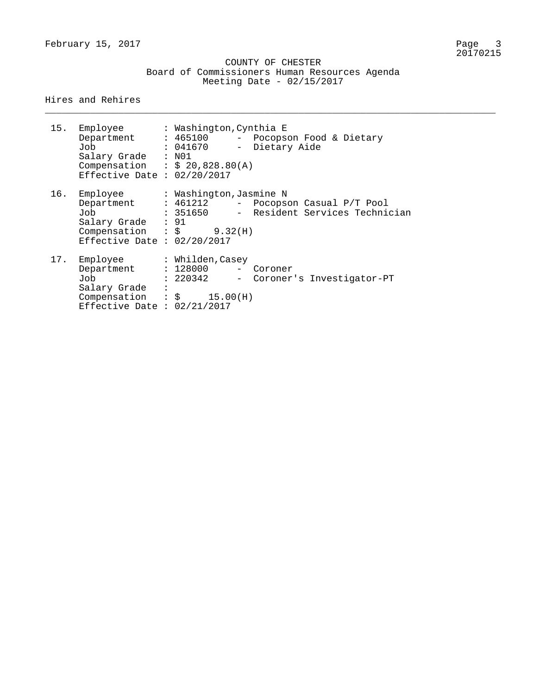February 15, 2017

 COUNTY OF CHESTER Board of Commissioners Human Resources Agenda Meeting Date - 02/15/2017

\_\_\_\_\_\_\_\_\_\_\_\_\_\_\_\_\_\_\_\_\_\_\_\_\_\_\_\_\_\_\_\_\_\_\_\_\_\_\_\_\_\_\_\_\_\_\_\_\_\_\_\_\_\_\_\_\_\_\_\_\_\_\_\_\_\_\_\_\_\_\_\_\_\_\_\_\_\_\_\_

Hires and Rehires

| 15. | Employee : Washington, Cynthia E<br>Department : 465100<br>Job<br>Salary Grade : N01<br>Compensation : $$20,828.80(A)$<br>Effective Date : $02/20/2017$ | : 041670               | - Pocopson Food & Dietary<br>- Dietary Aide                           |
|-----|---------------------------------------------------------------------------------------------------------------------------------------------------------|------------------------|-----------------------------------------------------------------------|
| 16. | Employee<br>Department : 461212<br>Job<br>Salary Grade : 91<br>Compensation : $\zeta$ 9.32(H)<br>Effective Date : $02/20/2017$                          | : Washington,Jasmine N | - Pocopson Casual P/T Pool<br>: 351650 - Resident Services Technician |
| 17. | Employee<br>Department : 128000<br>Job<br>Salary Grade :<br>Compensation : $\sqrt{5}$ 15.00(H)<br>Effective Date : $02/21/2017$                         | : Whilden,Casey        | - Coroner<br>: 220342 - Coroner's Investigator-PT                     |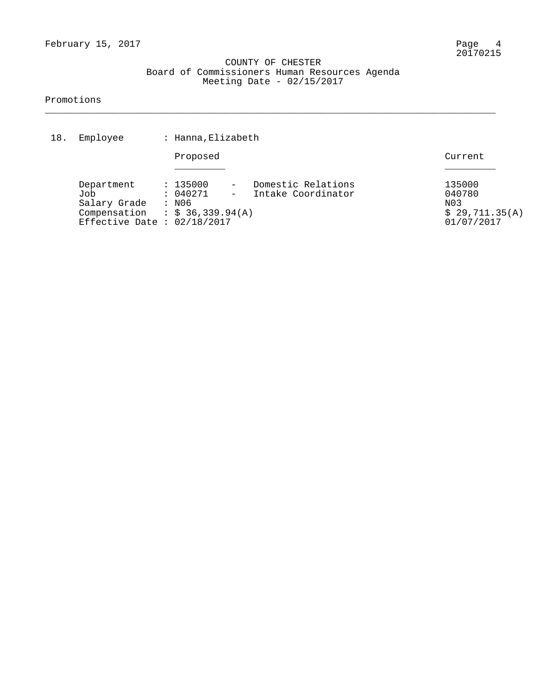#### COUNTY OF CHESTER Board of Commissioners Human Resources Agenda Meeting Date - 02/15/2017

\_\_\_\_\_\_\_\_\_\_\_\_\_\_\_\_\_\_\_\_\_\_\_\_\_\_\_\_\_\_\_\_\_\_\_\_\_\_\_\_\_\_\_\_\_\_\_\_\_\_\_\_\_\_\_\_\_\_\_\_\_\_\_\_\_\_\_\_\_\_\_\_\_\_\_\_\_\_\_\_

#### Promotions

| 18. | Employee                                                                                             | : Hanna, Elizabeth            |                                          |                                                         |
|-----|------------------------------------------------------------------------------------------------------|-------------------------------|------------------------------------------|---------------------------------------------------------|
|     |                                                                                                      | Proposed                      |                                          | Current                                                 |
|     | Department<br>Job<br>Salary Grade<br>Compensation : $$36,339.94(A)$<br>Effective Date : $02/18/2017$ | : 135000<br>: 040271<br>: N06 | Domestic Relations<br>Intake Coordinator | 135000<br>040780<br>N03<br>\$29,711.35(A)<br>01/07/2017 |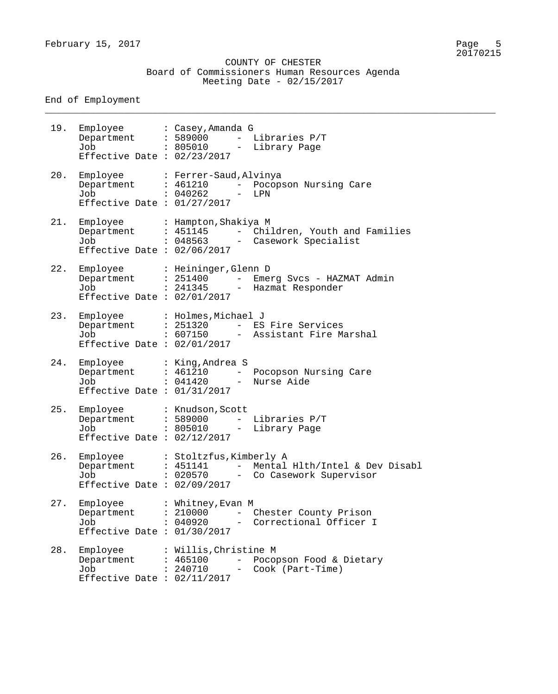#### COUNTY OF CHESTER Board of Commissioners Human Resources Agenda Meeting Date - 02/15/2017

\_\_\_\_\_\_\_\_\_\_\_\_\_\_\_\_\_\_\_\_\_\_\_\_\_\_\_\_\_\_\_\_\_\_\_\_\_\_\_\_\_\_\_\_\_\_\_\_\_\_\_\_\_\_\_\_\_\_\_\_\_\_\_\_\_\_\_\_\_\_\_\_\_\_\_\_\_\_\_\_

End of Employment

| 19. | Department : 589000<br>Job<br>Effective Date : $02/23/2017$       | Employee : Casey, Amanda G<br>Libraries P/T<br>$ \,$<br>: 805010 - Library Page                                              |
|-----|-------------------------------------------------------------------|------------------------------------------------------------------------------------------------------------------------------|
| 20. | Department : 461210<br>Job<br>Effective Date : $01/27/2017$       | Employee : Ferrer-Saud, Alvinya<br>- Pocopson Nursing Care<br>: 040262<br>LPN<br>$\frac{1}{2}$                               |
| 21. | Department : 451145<br>Job<br>Effective Date : $02/06/2017$       | Employee : Hampton, Shakiya M<br>- Children, Youth and Families<br>: 048563 - Casework Specialist                            |
| 22. | Job<br>Effective Date : $02/01/2017$                              | Employee : Heininger, Glenn D<br>Department : 251400 - Emerg Svcs - HAZMAT Admin<br>: 241345 - Hazmat Responder              |
| 23. | Job<br>Effective Date : $02/01/2017$                              | Employee : Holmes, Michael J<br>Department : 251320 - ES Fire Services<br>: 607150 - Assistant Fire Marshal                  |
| 24. | Employee : King, Andrea S<br>Job<br>Effective Date : $01/31/2017$ | Department : 461210 - Pocopson Nursing Care<br>: 041420 - Nurse Aide                                                         |
| 25. | Department : 589000<br>Job<br>Effective Date : $02/12/2017$       | Employee : Knudson, Scott<br>- Libraries P/T<br>: 805010 - Library Page                                                      |
| 26. | Department<br>Job<br>Effective Date : $02/09/2017$                | Employee : Stoltzfus, Kimberly A<br>: 451141<br>Mental H1th/Intel & Dev Disabl<br>$ -$<br>: 020570<br>Co Casework Supervisor |
| 27. | Employee<br>Department<br>Job<br>Effective Date : $01/30/2017$    | : Whitney, Evan M<br>: 210000<br>Chester County Prison<br>: 040920<br>- Correctional Officer I                               |
| 28. | Employee<br>Department<br>Job<br>Effective Date : $02/11/2017$    | : Willis, Christine M<br>: 465100<br>Pocopson Food & Dietary<br>$\qquad \qquad -$<br>: 240710<br>Cook (Part-Time)<br>$\sim$  |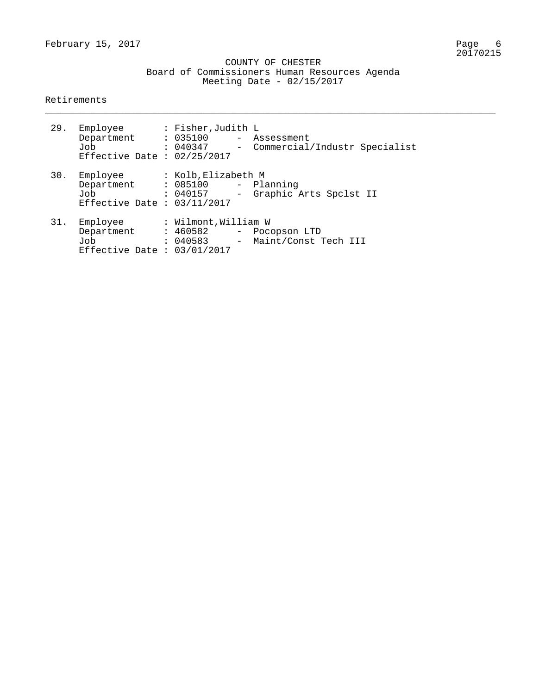#### COUNTY OF CHESTER Board of Commissioners Human Resources Agenda Meeting Date - 02/15/2017

\_\_\_\_\_\_\_\_\_\_\_\_\_\_\_\_\_\_\_\_\_\_\_\_\_\_\_\_\_\_\_\_\_\_\_\_\_\_\_\_\_\_\_\_\_\_\_\_\_\_\_\_\_\_\_\_\_\_\_\_\_\_\_\_\_\_\_\_\_\_\_\_\_\_\_\_\_\_\_\_

#### Retirements

|     | 29. Employee<br>Department : 035100 - Assessment<br>Job<br>Effective Date : $02/25/2017$ | : Fisher,Judith L   | : 040347 - Commercial/Industr Specialist                   |
|-----|------------------------------------------------------------------------------------------|---------------------|------------------------------------------------------------|
| 30. | Employee<br>Department : 085100 - Planning<br>Job<br>Effective Date : $03/11/2017$       | : Kolb,Elizabeth M  | : 040157 - Graphic Arts Spclst II                          |
|     | 31. Employee<br>Department<br>Job<br>Effective Date : $03/01/2017$                       | : Wilmont,William W | : 460582 - Pocopson LTD<br>: 040583 - Maint/Const Tech III |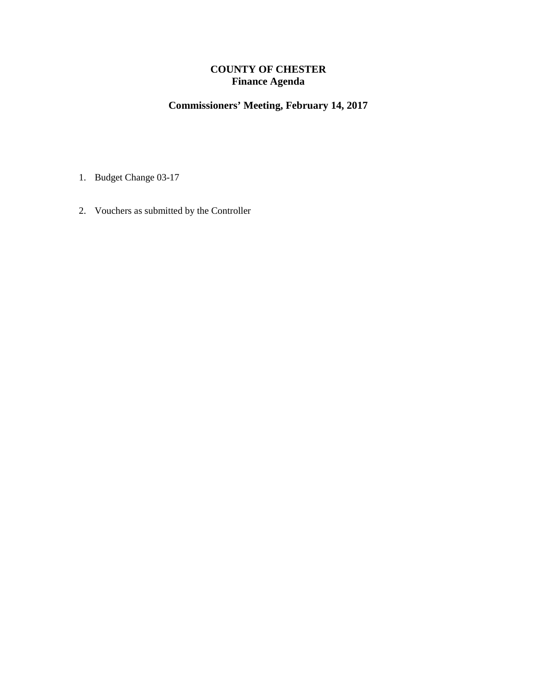## **COUNTY OF CHESTER Finance Agenda**

# **Commissioners' Meeting, February 14, 2017**

- 1. Budget Change 03-17
- 2. Vouchers as submitted by the Controller